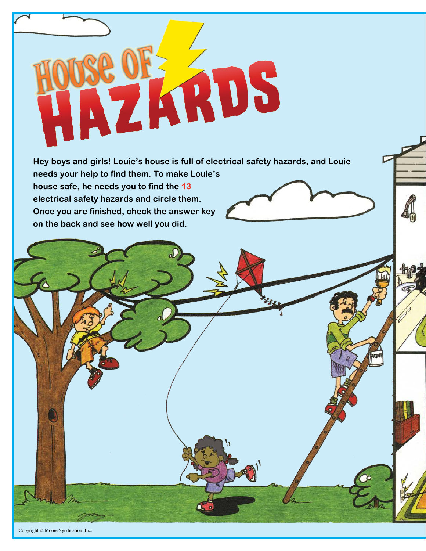

**Hey boys and girls! Louie's house is full of electrical safety hazards, and Louie needs your help to find them. To make Louie's house safe, he needs you to find the 13 electrical safety hazards and circle them. Once you are finished, check the answer key on the back and see how well you did.**



Copyright © Moore Syndication, Inc.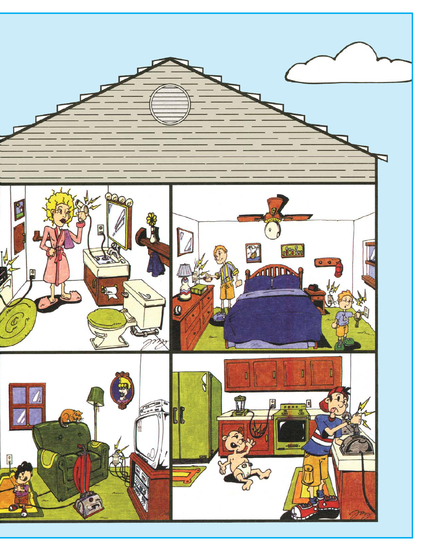